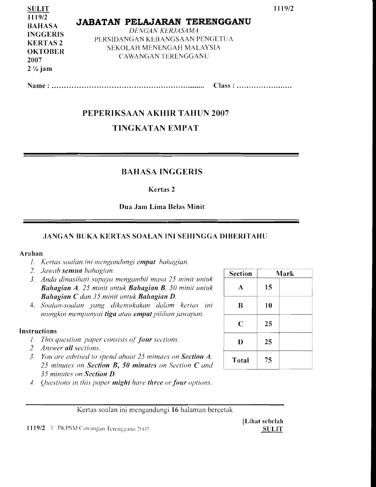| <b>SULIT</b><br>1119/2<br><b>BAHASA</b><br><b>INGGERIS</b><br><b>KERTAS2</b><br><b>OKTOBER</b><br>2007<br>$2\frac{1}{4}$ jam | <b>JABATAN PELAJARAN TERENGGANU</b><br>DENGAN KERJASAMA<br>PERSIDANGAN KEBANGSAAN PENGETUA<br>SEKOLAH MENENGAH MALAYSIA<br>CAWANGAN TERENGGANU |
|------------------------------------------------------------------------------------------------------------------------------|------------------------------------------------------------------------------------------------------------------------------------------------|
|------------------------------------------------------------------------------------------------------------------------------|------------------------------------------------------------------------------------------------------------------------------------------------|

Name: Class: ........................

# PEPERIKSAAN AKHIR TAHUN 2007

# TINGKATAN EMPAT

#### BAHASA INGGERIS

Kertas 2

#### Dua Jam Lima Belas Minit

#### JANGAN BUKA KERTAS SOALAN INI SEHINGGA DIBERITAHLJ

#### Arahan

- 1. *Kertas soalan ini mengandungi empat bahagian.*
- 2. Jawab semua bahagian.
- *3. Anda dinasihati supaya mengambil masa* 25 *minit untuk Bahagian A,* 25 *minit untuk Baltagian B,* 50 *minit untuk Bahagian* C *dan* 35 *minit untuk Bahagian D.*
- *4. Soalan-soalan yang dikemukakan dalam kertas ini* B 10 *mungkin mempunyai tiga atau empat pilihanjawapan.*

#### Instructions

- 1. This question paper consists of four sections.
- *2. Answer all sections.*
- 3. You are advised to spend about 25 minutes on **Section A**, 25 minutes on **Section B, 50 minutes** on Section **C** and *35 minutes on Section D.*
- *4. Questions in this paper might have three or four options.*

| <b>Section</b> |    | Mark |
|----------------|----|------|
| A              | 15 |      |
| B              | 10 |      |
| $\mathbf C$    | 25 |      |
| D              | 25 |      |
| Total          | 75 |      |

Kertas soalan ini mengandungi 16 halaman bercetak

1119/2 C PKPSM Cawangan Terengganu 2007 SULIT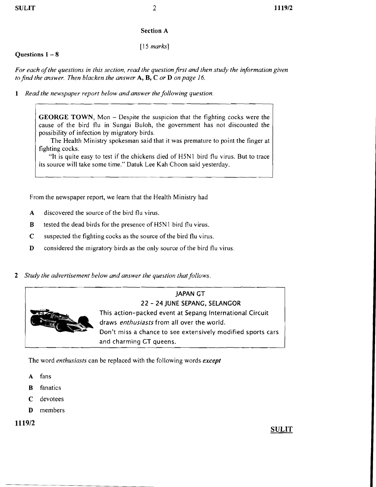#### Section A

*[15 marks]* 

#### Questions  $1 - 8$

*For each ofthe questions in this section, read the question first and then study the information given to find the answer. Then blacken the answer* A, B, C *or* D *on page* 16.

1 *Read the newspaper report below and answer the following question.* 

GEORGE TOWN, Mon - Despite the suspicion that the fighting cocks were the cause of the bird flu in Sungai Buloh, the government has not discounted the possibility of infection by migratory birds.

The Health Ministry spokesman said that it was premature to point the finger at fighting cocks.

"It is quite easy to test if the chickens died of H5N1 bird flu virus. But to trace its source will take some time." Datuk Lee Kah Choon said yesterday.

From the newspaper report, we learn that the Health Ministry had

- A discovered the source of the bird flu virus.
- B tested the dead birds for the presence of H5N1 bird flu virus.
- C suspected the fighting cocks as the source of the bird flu virus.
- D considered the migratory birds as the only source of the bird flu virus.
- *2 Study the advertisement below and answer the question that follows.*



The word *enthusiasts* can be replaced with the following words *except* 

- A fans
- B fanatics
- C devotees
- D members

1119/2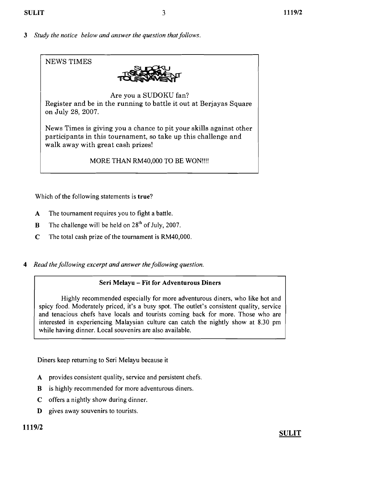3 *Study the notice below and answer the question that follows.* 



Which of the following statements is true?

- A The tournament requires you to fight a battle.
- B The challenge will be held on  $28<sup>th</sup>$  of July, 2007.
- C The total cash prize of the tournament is RM40,000.
- 4 *Read the following excerpt and answer the following question.*

#### Seri Melayu - Fit for Adventurous Diners

Highly recommended especially for more adventurous diners, who like hot and spicy food. Moderately priced, it's a busy spot. The outlet's consistent quality, service and tenacious chefs have locals and tourists coming back for more. Those who are interested in experiencing Malaysian culture can catch the nightly show at 8.30 pm while having dinner. Local souvenirs are also available.

Diners keep returning to Seri Melayu because it

- A provides consistent quality, service and persistent chefs.
- B is highly recommended for more adventurous diners.
- C offers a nightly show during dinner.
- **D** gives away souvenirs to tourists.

# 1119/2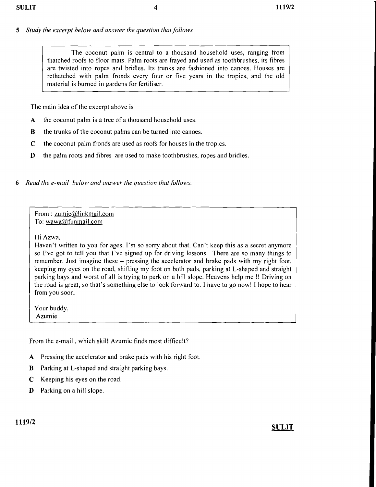## *5 Study the excerpt below and answer the question that follows*

The coconut palm is central to a thousand household uses, ranging from thatched roofs to floor mats. Palm roots are frayed and used as toothbrushes, its fibres are twisted into ropes and bridles. Its trunks are fashioned into canoes. Houses are rethatched with palm fronds every four or five years in the tropics, and the old material is burned in gardens for fertiliser.

The main idea of the excerpt above is

- A the coconut palm is a tree of a thousand household uses.
- B the trunks of the coconut palms can be turned into canoes.
- C the coconut palm fronds are used as roofs for houses in the tropics.
- D the palm roots and fibres are used to make toothbrushes, ropes and bridles.
- *6 Read the e-mail below and answer the question that follows.*

From: zumie@linkmail.com To: wawa@funmail.com

Hi Azwa,

Haven't written to you for ages. I'm so sorry about that. Can't keep this as a secret anymore so I've got to tell you that I've signed up for driving lessons. There are so many things to remember. Just imagine these – pressing the accelerator and brake pads with my right foot, keeping my eyes on the road, shifting my foot on both pads, parking at L-shaped and straight parking bays and worst of all is trying to park on a hill slope. Heavens help me !! Driving on the road is great, so that's something else to look forward to. I have to go now! I hope to hear from you soon.

Your buddy, Azumie

From the e-mail. which skill Azumie finds most difficult?

- A Pressing the accelerator and brake pads with his right foot.
- B Parking at L-shaped and straight parking bays.
- C Keeping his eyes on the road.
- D Parking on a hill slope.

# 1119/2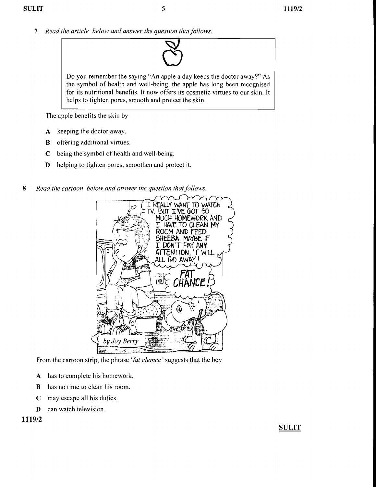7 *Read the article below and answer the question that follows.* 



The apple benefits the skin by

- A keeping the doctor away.
- **B** offering additional virtues.
- C being the symbol of health and well-being.
- D helping to tighten pores, smoothen and protect it.

*8 Read the cartoon below and answer the question that follows.* 



From the cartoon strip, the phrase *'fat chance'* suggests that the boy

- A has to complete his homework.
- B has no time to clean his room.
- C may escape all his duties.
- D can watch television.

1119/2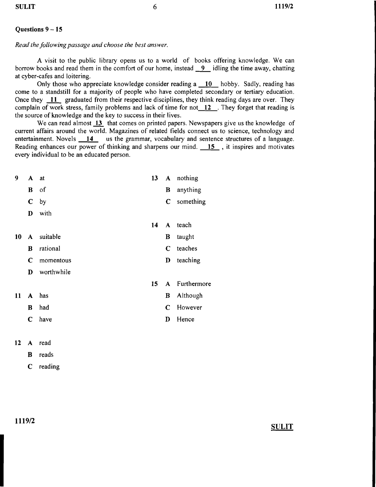#### **Questions** 9 - **15**

*Read the following passage and choose the best answer.* 

A visit to the public library opens us to a world of books offering knowledge. We can borrow books and read them in the comfort of our home, instead 9 idling the time away, chatting at cyber-cafes and loitering.

Only those who appreciate knowledge consider reading a **10** hobby. Sadly, reading has come to a standstill for a majority of people who have completed secondary or tertiary education. Once they  $11$  graduated from their respective disciplines, they think reading days are over. They complain of work stress, family problems and lack of time for not 12 They forget that reading is the source of knowledge and the key to success in their lives.

We can read almost 13 that comes on printed papers. Newspapers give us the knowledge of current affairs around the world. Magazines of related fields connect us to science, technology and entertainment. Novels 14 us the grammar, vocabulary and sentence structures of a language. Reading enhances our power of thinking and sharpens our mind. 15, it inspires and motivates every individual to be an educated person.

| 9  | $\mathbf{A}$ | at         | 13 <sup>2</sup> |             | A nothing     |
|----|--------------|------------|-----------------|-------------|---------------|
|    | B            | - of       |                 | B           | anything      |
|    | $\mathbf C$  | by         |                 | $\mathbf C$ | something     |
|    | D            | with       |                 |             |               |
|    |              |            | 14              |             | A teach       |
| 10 | $\mathbf{A}$ | suitable   |                 | B           | taught        |
|    | B            | rational   |                 | C           | teaches       |
|    | C            | momentous  |                 | D           | teaching      |
|    | D            | worthwhile |                 |             |               |
|    |              |            | 15              |             | A Furthermore |
| 11 |              | A has      |                 | $\bf{B}$    | Although      |
|    | B            | had        |                 | C           | However       |
|    | C            | have       |                 | D           | Hence         |
|    |              |            |                 |             |               |

12 A read

B reads

C reading

**1119/2**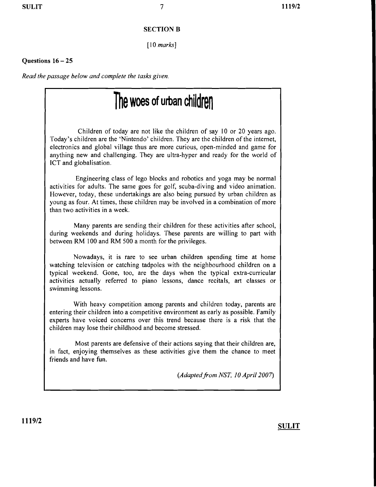#### SECTION B

*[10 marks]* 

#### Questions  $16 - 25$

*Read the passage below and complete the tasks given.* 

# **The woes of urban children**

Children of today are not like the children of say 10 or 20 years ago. Today's children are the 'Nintendo' children. They are the children of the internet, electronics and global village thus are more curious, open-minded and game for anything new and challenging. They are ultra-hyper and ready for the world of lCT and globalisation.

Engineering class of lego blocks and robotics and yoga may be normal activities for adults. The same goes for golf, scuba-diving and video animation. However, today, these undertakings are also being pursued by urban children as young as four. At times, these children may be involved in a combination of more than two activities in a week.

Many parents are sending their children for these activities after school, during weekends and during holidays. These parents are willing to part with between RM 100 and RM 500 a month for the privileges.

Nowadays, it is rare to see urban children spending time at home watching television or catching tadpoles with the neighbourhood children on a typical weekend. Gone, too, are the days when the typical extra-curricular activities actually referred to piano lessons, dance recitals, art classes or swimming lessons.

With heavy competition among parents and children today, parents are entering their children into a competitive environment as early as possible. Family experts have voiced concerns over this trend because there is a risk that the children may lose their childhood and become stressed.

Most parents are defensive of their actions saying that their children are, in fact, enjoying themselves as these activities give them the chance to meet friends and have fun.

*(Adaptedfrom NST, 10 April 2007)*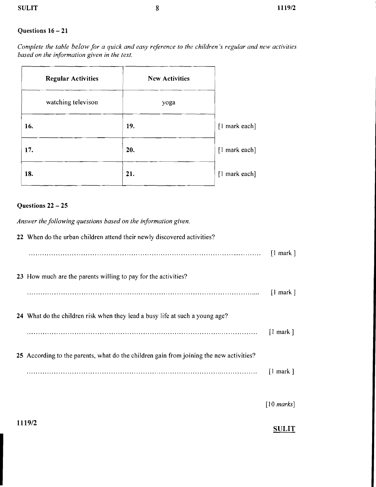### $\text{SULIT}$  and  $\text{S}$  and  $\text{S}$  and  $\text{S}$  and  $\text{S}$  and  $\text{S}$  and  $\text{S}$  and  $\text{S}$  and  $\text{S}$  and  $\text{S}$  and  $\text{S}$  and  $\text{S}$  and  $\text{S}$  and  $\text{S}$  and  $\text{S}$  and  $\text{S}$  and  $\text{S}$  and  $\text{S}$  and  $\text$

#### Questions  $16 - 21$

*Complete the table below for a quick and easy reference to the children's regular and new activities based on the information given in the text.* 

| <b>Regular Activities</b> | <b>New Activities</b> |               |
|---------------------------|-----------------------|---------------|
| watching televison        | yoga                  |               |
| 16.                       | 19.                   | [1 mark each] |
| 17.                       | 20.                   | [I mark each] |
| 18.                       | 21.                   | [1 mark each] |

#### Questions  $22 - 25$

*Answer the following questions based on the information given.* 

| 22 When do the urban children attend their newly discovered activities?                 |                        |
|-----------------------------------------------------------------------------------------|------------------------|
|                                                                                         | $\lceil$ mark $\rceil$ |
| 23 How much are the parents willing to pay for the activities?                          |                        |
|                                                                                         | $\lceil$ mark $\rceil$ |
| 24 What do the children risk when they lead a busy life at such a young age?            |                        |
|                                                                                         | $\lceil$ mark $\rceil$ |
| 25 According to the parents, what do the children gain from joining the new activities? |                        |
|                                                                                         | $\lceil$ mark $\rceil$ |
|                                                                                         |                        |

*[10 marks]* 

1119/2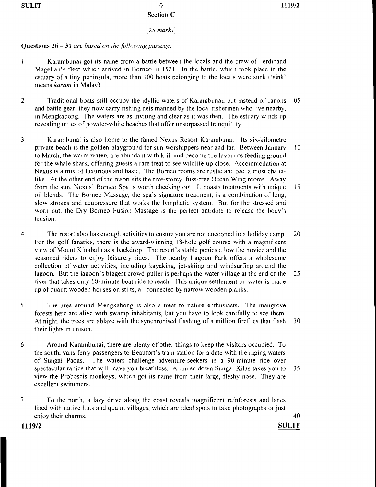$SULIT$  9 1119/2 Section C

*[25 marks]* 

#### Questions 26 - 31 *are based on the fo!!owing passage.*

- Karambunai got its name from a battle between the locals and the crew of Ferdinand  $\mathbf{1}$ Magellan's fleet which arrived in Borneo in 1521. In the battle, which took place in the estuary of a tiny peninsula, more than 100 boats belonging to the locals were sunk ('sink' means *karam* in Malay).
- 2 Traditional boats still occupy the idyllic waters of Kararnbunai, but instead of canons 05 and battle gear, they now carry fishing nets manned by the local fishermen who live nearby, in Mengkabong. The waters are as inviting and clear as it was then. The estuary winds up revealing miles of powder-white beaches that offer unsurpassed tranquillity.
- 3 Karambunai is also home to the famed Nexus Resort Karambunai. Its six-kilometre private beach is the golden playground for sun-worshippers near and far. Between January J0 to March, the warm waters are abundant with krill and become the favourite feeding ground for the whale shark, offering guests a rare treat to see wildlife up close. Accommodation at Nexus is a mix of luxurious and basic. The Borneo rooms are rustic and feel almost chaletlike. At the other end of the resort sits the five-storey, fuss-free Ocean Wing rooms. Away from the sun, Nexus' Borneo Spa is worth checking out. It boasts treatments with unique 15 oil blends. The Borneo Massage, the spa's signature treatment, is a combination of long, slow strokes and acupressure that works the lymphatic system. But for the stressed and worn out, the Dry Borneo Fusion Massage is the perfect antidote to release the body's tension.
- 4 The resort also has enough activities to ensure you are not cocooned in a holiday camp. 20 For the golf fanatics, there is the award-winning 18-hole golf course with a magnificent view of Mount Kinabalu as a backdrop. The resort's stable ponies allow the novice and the seasoned riders to enjoy leisurely rides. The nearby Lagoon Park offers a wholesome collection of water activities, including kayaking, jet-skiing and windsurfing around the lagoon. But the lagoon's biggest crowd-puller is perhaps the water village at the end of the 25 river that takes only lO-minute boat ride to reach. This unique settlement on water is made up of quaint wooden houses on stilts, all connected by narrow wooden planks.
- 5 The area around Mengkabong is also a treat to nature enthusiasts. The mangrove forests here are alive with swamp inhabitants, but you have to look carefully to see them. At night, the trees are ablaze with the synchronised flashing of a million fireflies that flash 30 their lights in unison.
- 6 Around Karambunai, there are plenty of other things to keep the visitors occupied. To the south, vans ferry passengers to Beaufort's train station for a date with the raging waters of Sungai Padas. The waters challenge adventure-seekers in a 90-minute ride over spectacular rapids that will leave you breathless. A cruise down Sungai Kilas takes you to 35 view the Proboscis monkeys, which got its name from their large, fleshy nose. They are excellent swimmers.
- 7 To the north, a lazy drive along the coast reveals magnificent rainforests and lanes lined with native huts and quaint villages, which are ideal spots to take photographs or just enjoy their charms. 40

1119/2 SULIT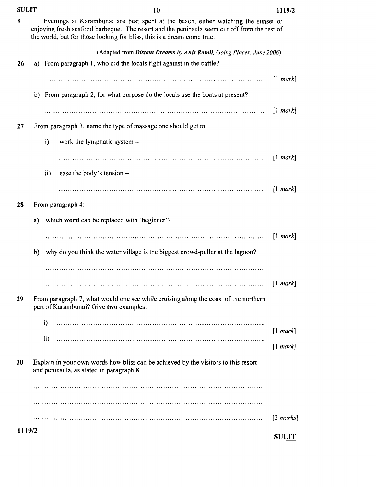| <b>SULIT</b> |    | 10                                                                                                                                                                                                                                                         | 1119/2                         |
|--------------|----|------------------------------------------------------------------------------------------------------------------------------------------------------------------------------------------------------------------------------------------------------------|--------------------------------|
| 8            |    | Evenings at Karambunai are best spent at the beach, either watching the sunset or<br>enjoying fresh seafood barbeque. The resort and the peninsula seem cut off from the rest of<br>the world, but for those looking for bliss, this is a dream come true. |                                |
|              |    | (Adapted from Distant Dreams by Anis Ramli, Going Places: June 2006)                                                                                                                                                                                       |                                |
| 26           |    | a) From paragraph 1, who did the locals fight against in the battle?                                                                                                                                                                                       |                                |
|              |    |                                                                                                                                                                                                                                                            | [1 mark]                       |
|              |    | b) From paragraph 2, for what purpose do the locals use the boats at present?                                                                                                                                                                              |                                |
|              |    |                                                                                                                                                                                                                                                            | [1 mark]                       |
| 27           |    | From paragraph 3, name the type of massage one should get to:                                                                                                                                                                                              |                                |
|              |    | i)<br>work the lymphatic system -                                                                                                                                                                                                                          |                                |
|              |    |                                                                                                                                                                                                                                                            | $[1 \text{ mark}]$             |
|              |    | ease the body's tension -<br>ii)                                                                                                                                                                                                                           |                                |
|              |    |                                                                                                                                                                                                                                                            | [1 mark]                       |
| 28           |    | From paragraph 4:                                                                                                                                                                                                                                          |                                |
|              | a) | which word can be replaced with 'beginner'?                                                                                                                                                                                                                |                                |
|              |    |                                                                                                                                                                                                                                                            | $\lceil$ mark                  |
|              | b) | why do you think the water village is the biggest crowd-puller at the lagoon?                                                                                                                                                                              |                                |
|              |    |                                                                                                                                                                                                                                                            |                                |
|              |    |                                                                                                                                                                                                                                                            | $\lceil 1 \text{ mark} \rceil$ |
| 29           |    | From paragraph 7, what would one see while cruising along the coast of the northern<br>part of Karambunai? Give two examples:                                                                                                                              |                                |
|              |    | i)                                                                                                                                                                                                                                                         |                                |
|              |    | ii)                                                                                                                                                                                                                                                        | [1 mark]                       |
|              |    |                                                                                                                                                                                                                                                            | [1 mark]                       |
| 30           |    | Explain in your own words how bliss can be achieved by the visitors to this resort<br>and peninsula, as stated in paragraph 8.                                                                                                                             |                                |
|              |    |                                                                                                                                                                                                                                                            |                                |
|              |    |                                                                                                                                                                                                                                                            |                                |
|              |    |                                                                                                                                                                                                                                                            | $[2 \text{ marks}]$            |
| 1119/2       |    |                                                                                                                                                                                                                                                            | <b>SULIT</b>                   |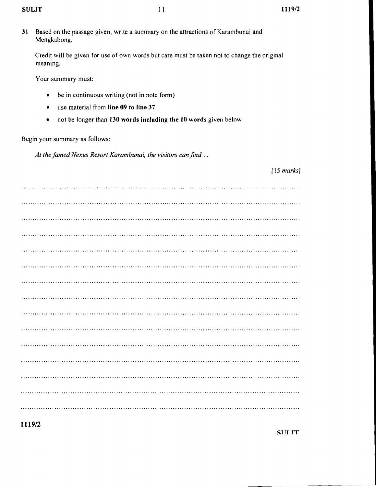| 31 | Based on the passage given, write a summary on the attractions of Karambunai and<br>Mengkabong.         |
|----|---------------------------------------------------------------------------------------------------------|
|    | Credit will be given for use of own words but care must be taken not to change the original<br>meaning. |
|    | Your summary must:                                                                                      |
|    | be in continuous writing (not in note form)<br>٠                                                        |
|    | use material from line 09 to line 37<br>$\bullet$                                                       |
|    | not be longer than 130 words including the 10 words given below<br>٠                                    |
|    | Begin your summary as follows:                                                                          |
|    | At the famed Nexus Resort Karambunai, the visitors can find                                             |
|    | $[15$ marks]                                                                                            |
|    |                                                                                                         |
|    |                                                                                                         |
|    |                                                                                                         |

**1119/2** 

**STIT** .TT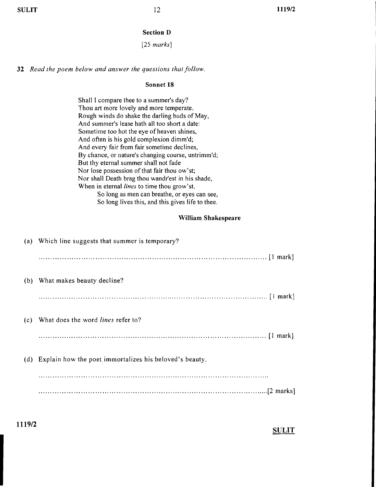# **Section D**

# *[25 marks]*

**32** *Read the poem below and answer the questions that follow.* 

#### Sonnet 18

|     | Shall I compare thee to a summer's day?<br>Thou art more lovely and more temperate.<br>Rough winds do shake the darling buds of May,<br>And summer's lease hath all too short a date:<br>Sometime too hot the eye of heaven shines,<br>And often is his gold complexion dimm'd;<br>And every fair from fair sometime declines,<br>By chance, or nature's changing course, untrimm'd;<br>But thy eternal summer shall not fade<br>Nor lose possession of that fair thou ow'st;<br>Nor shall Death brag thou wandr'est in his shade,<br>When in eternal lines to time thou grow'st.<br>So long as men can breathe, or eyes can see,<br>So long lives this, and this gives life to thee. |
|-----|---------------------------------------------------------------------------------------------------------------------------------------------------------------------------------------------------------------------------------------------------------------------------------------------------------------------------------------------------------------------------------------------------------------------------------------------------------------------------------------------------------------------------------------------------------------------------------------------------------------------------------------------------------------------------------------|
|     | William Shakespeare                                                                                                                                                                                                                                                                                                                                                                                                                                                                                                                                                                                                                                                                   |
|     | (a) Which line suggests that summer is temporary?                                                                                                                                                                                                                                                                                                                                                                                                                                                                                                                                                                                                                                     |
|     |                                                                                                                                                                                                                                                                                                                                                                                                                                                                                                                                                                                                                                                                                       |
|     | (b) What makes beauty decline?                                                                                                                                                                                                                                                                                                                                                                                                                                                                                                                                                                                                                                                        |
|     |                                                                                                                                                                                                                                                                                                                                                                                                                                                                                                                                                                                                                                                                                       |
| (c) | What does the word lines refer to?                                                                                                                                                                                                                                                                                                                                                                                                                                                                                                                                                                                                                                                    |
|     |                                                                                                                                                                                                                                                                                                                                                                                                                                                                                                                                                                                                                                                                                       |
|     | (d) Explain how the poet immortalizes his beloved's beauty.                                                                                                                                                                                                                                                                                                                                                                                                                                                                                                                                                                                                                           |
|     |                                                                                                                                                                                                                                                                                                                                                                                                                                                                                                                                                                                                                                                                                       |
|     |                                                                                                                                                                                                                                                                                                                                                                                                                                                                                                                                                                                                                                                                                       |

**1119/2**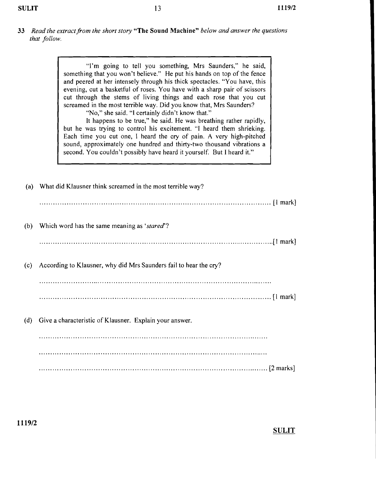**33** *Read the extract from the short story* **"The Sound Machine"** *below and answer the questions that follow.* 

> "I'm going to tell you something, Mrs Saunders," he said, something that you won't believe." He put his hands on top of the fence and peered at her intensely through his thick spectacles. "You have, this evening, cut a basketful of roses. You have with a sharp pair of scissors cut through the stems of living things and each rose that you cut screamed in the most terrible way. Did you know that, Mrs Saunders?

"No," she said. "I certainly didn't know that."

It happens to be true," he said. He was breathing rather rapidly, but he was trying to control his excitement. "I heard them shrieking. Each time you cut one, 1 heard the cry of pain. A very high-pitched sound, approximately one hundred and thirty-two thousand vibrations a second. You couldn't possibly have heard it yourself. But 1 heard it."

|     | (a) What did Klausner think screamed in the most terrible way?    |
|-----|-------------------------------------------------------------------|
|     |                                                                   |
| (b) | Which word has the same meaning as 'stared'?                      |
|     |                                                                   |
| (c) | According to Klausner, why did Mrs Saunders fail to hear the cry? |
|     |                                                                   |
|     |                                                                   |
| (d) | Give a characteristic of Klausner. Explain your answer.           |
|     |                                                                   |
|     |                                                                   |
|     |                                                                   |